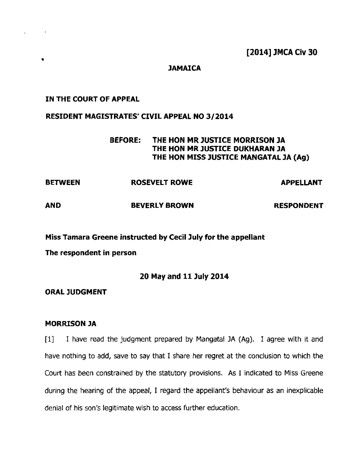**[2014] JMCA Civ 30** 

### **JAMAICA**

#### **IN THE COURT OF APPEAL**

 $\sim 10$ 

ä.

#### **RESIDENT MAGISTRATES' CIVIL APPEAL NO 312014**

# **BEFORE: THE HON MR JUSTICE MORRISON JA THE HON MR JUSTICE DUKHARAN JA THE HON MISS JUSTICE MANGATAL JA (Ag)**

| <b>BETWEEN</b> | <b>ROSEVELT ROWE</b> | <b>APPELLANT</b>  |
|----------------|----------------------|-------------------|
| <b>AND</b>     | <b>BEVERLY BROWN</b> | <b>RESPONDENT</b> |

**Miss Tamara Greene instructed by Cecil July for the appellant** 

**The respondent in person** 

## **20 May and 11 July 2014**

**ORAL JUDGMENT** 

#### **MORRISON JA**

[I] **1** have read the judgment prepared by Mangatal JA **(Ag).** I agree with it and have nothing to add, save to say that I share her regret at the conclusion to which the Court has been constrained by the statutory provisions. **As** I **indicated** to **Miss** Greene during the hearing of the appeal, I regard the **appeilant's** behaviour **as** an inexplicable **denial** of his son's legitimate wish to access further education.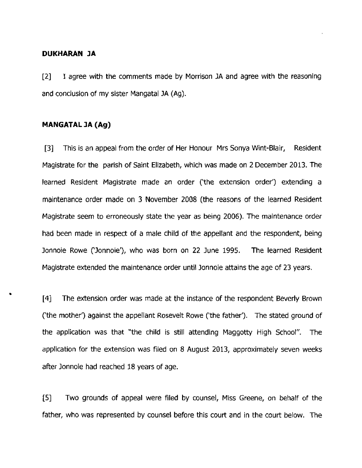#### **DUKHARAN JA**

[2] **1** agree with the comments made by Morrison **]A** and agree with the reasoning and conclusion of my sister Mangatal JA **(Ag).** 

### **MANGATAL 3A (Ag)**

**[3]** This is an appeal from the order of Her Honour Mrs Sonya Wint-Blair, Resident Magistrate for **the** parish of Saint Elizabeth, which was made on 2 December 2013. The learned Resident Magistrate made an order ('the extension order') extending a maintenance order made on 3 November 2008 (the reasons of the learned Resident Magistrate seem to erroneously state the year as being 2006). The maintenance order had been **made in** respect of a male child of the appellant and the respondent, being Jonnoie Rowe ('Jonnoie'), who was born on **22** June 1995. The learned Resident Magistrate extended the maintenance order until Jonnoie attains the age of 23 **years.** 

**[43** The **extension order** was made at the instance of the respondent Beverly Brown ('the mother') against the appellant Rosevelt Rowe ('the father'). The stated **ground** of the application was that "the child is still attending **Maggotty** High School". The application for the extension **was** filed on 8 August 2013, approximately seven weeks **after** Jonnoie had reached 18 years of age.

**[S]** Two grounds of appeal were filed by counsel, Miss Greene, on behalf of the father, who was represented by counsel before this court and in the court below. The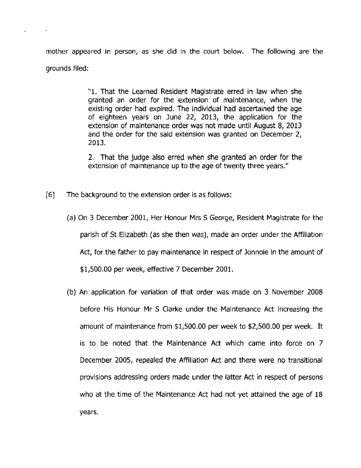mother appeared in person, as she **did** in the court below. The following are the grounds filed:

> **"1.** That the Learned Resident Magistrate **erred** in law when she granted an order for the extension of maintenance, when the existing order had expired. The individual had ascertained the age of eighteen years on June 22, 2013, the application for the extension of maintenance order was not made until **August** 8, 2013 **and** the order for the said extension was **granted** on December 2, 2013.

> 2, That the judge also erred when **she** granted an order for the extension of maintenance up to the age of twenty three **years."**

- [6] The background to the extension **order** is as follows:
	- (a) On **3** December 2001, Her Honour Mrs S George, Resident Magistrate for the parish of St Elizabeth (as she then was), made an order under the Affiliation Act, for the father to pay maintenance in respect of Jonnoie in the amount of \$1,500.00 per week, effective 7 December 2001.
	- (b) An application **for** variation of **that** order **was** made on 3 November 2008 before His Honour Mr S Clarke under the Maintenance **Act** increasing the amount of maintenance from \$1,500.00 per week to \$2,500.00 per week. It is to be noted that the Maintenance **Act** which came into force on 7 December 2005, repealed the Affiliation **Act** and there were no transitional provisions addressing orders made under the latter **Act** in respect of persons who at the time of the Maintenance **Act** had not yet attained the age of 18 years.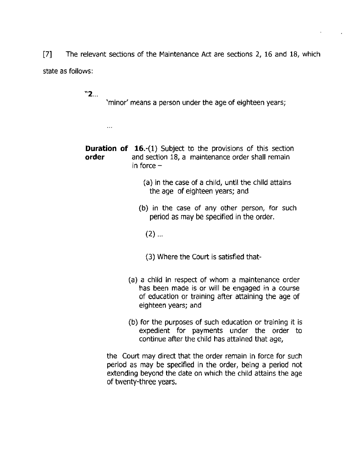$\sqrt{71}$ The relevant sections of the Maintenance Act are sections 2, 16 and 18, which state **as** follows:

**<sup>11</sup>2..** .

 $\ddotsc$ 

'minor' means a person under the age of eighteen years;

**Duration of 16.-(1)** Subject to the provisions of this section order and section 18, a maintenance order shall remain in force  $-$ 

- (a) in the case of a child, until the **child** attains the age of eighteen years; and
- (b) in the case of any other person, for such **period** as may **be specified** in the **order.** 
	- $(2)$  ...
	- (3) Where the Court is satisfied that-
- **(a) a child** in **respect** of whom a maintenance order has been made **is** or will be engaged in a course of **education** or training affer attaining the age of eighteen years; and
- **(b)** for the **purposes** of such education or training it is expedient for payments under the order to continue afier the **child has** attalned that age,

the Court may direct that the order remain in force for such period as **may** be specified in the order, being a **period** not extending beyond the date on which the child attains the age of twenty-three years,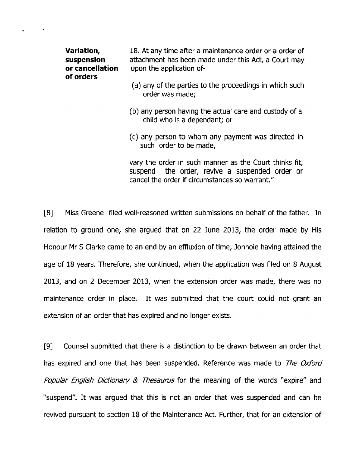| Variation,<br>suspension<br>or cancellation<br>of orders | 18. At any time after a maintenance order or a order of<br>attachment has been made under this Act, a Court may<br>upon the application of-                |  |
|----------------------------------------------------------|------------------------------------------------------------------------------------------------------------------------------------------------------------|--|
|                                                          | (a) any of the parties to the proceedings in which such<br>order was made;                                                                                 |  |
|                                                          | (b) any person having the actual care and custody of a<br>child who is a dependant; or                                                                     |  |
|                                                          | (c) any person to whom any payment was directed in<br>such order to be made,                                                                               |  |
|                                                          | vary the order in such manner as the Court thinks fit,<br>suspend the order, revive a suspended order or<br>cancel the order if circumstances so warrant." |  |

**[8]** Miss Greene filed well-reasoned written submissions on behalf of the father. In relation to ground one, she argued that on 22 June 2013, the order made by His Honour Mr S Clarke came to an end by an effluxion of time, Jonnoie having attained the age of 18 years. Therefore, she continued, when the application was filed on 8 August 2013, and on 2 December 2013, when the extension order was made, there was no maintenance order in place. **It** was submitted that the court **could** not grant an extension of an order that has expired and no longer exists.

**[9]** Counsel submitted that there is a distinction to be drawn between an order that has expired and one that **has** been **suspended.** Reference **was** made to The Oxford Popular **English** *Dictlonaty* & Thesaurus for the meaning of the words "expire" and "suspend". It was argued that this is not an order that was suspended and can be revived pursuant to section 18 of the Maintenance Act. Further, that for an extension of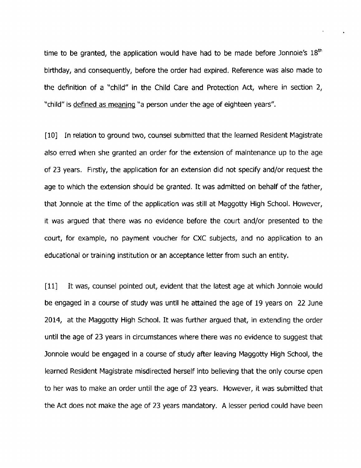time to be granted, the application would have had to be made before Jonnoie's  $18<sup>th</sup>$ birthday, and consequently, before the order had expired. Reference was also made to the definition of a "child" in the Child Care and Protection **Act,** where in section 2, "child" is defined as meaninq "a person under the age of eighteen years".

[10] In relation to ground two, counsel submitted that the learned Resident Magistrate also erred when she granted an order for the extension of maintenance up to the age of 23 years. Firstly, the application for an extension did not specify and/or request the age to which the extension should be granted. It was admitted on behalf of the father, that Jonnoie at the time of the application was still at Maggotty High School. However, it was arqued that there was no evidence before the court and/or presented to the court, for example, no payment voucher for CXC subjects, and no application to an educational or training institution or an acceptance letter from such an entity.

**<sup>1</sup>**It was, counsel pointed out, evident that the latest age at which Jonnoie would **be** engaged in a course of study **was** until he attained the age of 19 years on 22 June 2014, at the Maggotty High School. It was further argued that, in extending the order until the age of 23 years in circumstances where there was no evidence to suggest that Jonnoie would be engaged in a course of study afier leaving Maggotty High School, the learned Resident Magistrate misdirected herself into believing that the only course open to her was to make an order until the age of 23 years. However, it was submitted that the Act does not make the age of 23 years mandatory. A lesser period could have been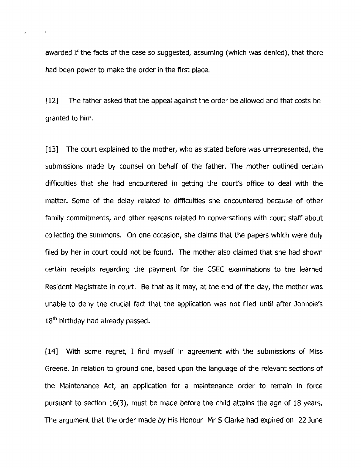awarded if the facts of the **case so suggested, assuming** (which **was denied),** that there had been power to make the order in the first place.

[I21 The father asked that the appeal against the order be allowed and that costs be granted to him.

**[I31** The court explained to the mother, who as stated before was unrepresented, the submissions made by counsel on behalf of the father. The mother outlined certain difficulties that she had encountered in getting the court's office to deal with the matter. Some of the delay related to difficulties she encountered because of other family commitments, and other reasons related to conversations with court staff about collecting the summons. On one occasion, she claims that the papers which were **du!y**  filed by her in court could not be **found.** The mother also claimed that she had shown certain receipts regarding the payment for the CSEC examinations to the learned Resident Magistrate in court. Be that **as** it may, at the end of the **day,** the mother was unable to deny the crucial fact that the application was not filed until **after** Jonnoiefs 18<sup>th</sup> birthday had already passed.

1141 With some regret, I find myself in agreement with the submissions of Miss Greene. In relation to ground one, based upon the language of the relevant sections of the Maintenance Act, an application for a maintenance order to remain in force pursuant to section **16(3),** must be made before the child attains the age of 18 years. The argument that the order made **by** His Honour Mr S Clarke had expired on 22 June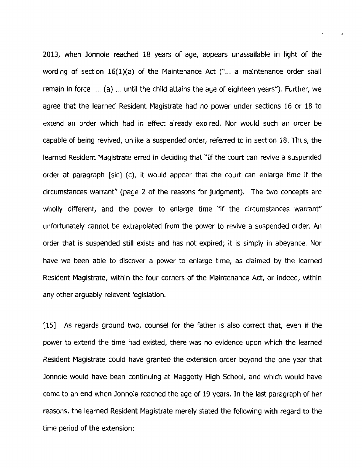2013, when Jonnoie reached 18 years of age, appears unassailable in light of the wording of section 16(1)(a) of the Maintenance Act ("... a maintenance order shall remain in force ... (a) ... until the child attains the **age** of eighteen years"). Further, we agree that the learned Resident Magistrate had no power under sections 16 or 18 to extend an order which had in effect already expired. Nor would such an order be capable of being revived, unlike a suspended order, referred to in section 18. Thus, the learned Resident Magistrate erred in deciding that "If the court can revive a suspended order at paragraph [sic] **(c),** it would appear that the court can enlarge time if the circumstances warrant" (page 2 of the reasons for judgment). The two concepts are wholly different, and the power to enlarge time "if the circumstances warrant" unfortunately cannot be extrapolated from the power to revive a suspended order. **An**  order that is suspended still exists and has not expired; it is simply in abeyance. Nor have we been able to discover a power to enlarge time, as claimed **by** the learned Resident Magistrate, within the four corners of the Maintenance **Act,** or indeed, within any other arguably relevant legislation.

[15] As regards ground two, counsel for the father is also correct that, even if the power to extend the time had existed, there was no evidence upon which the learned Resident Magistrate could have granted the extension order beyond the one year that Jonnoie would have been continuing at Maggotty High School, and which would have come to an end when Jonnoie reached the age of 19 **years.** In the last paragraph of her reasons, the learned Resident Magistrate merely stated the following with regard to the time period of the extension: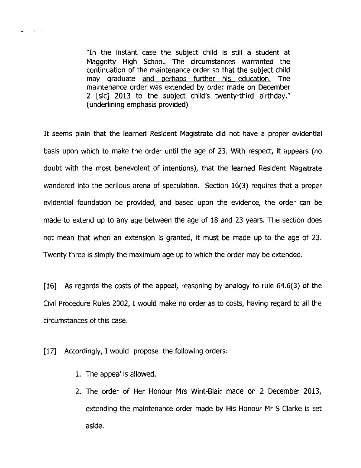"In the instant case the subject child is still a **student** at Maggotty High School. The circumstances warranted the continuation of the maintenance order so that the subject child may graduate and perhaps further his education. The maintenance order was extended by order made on December 2 [sic] 2013 to the **subject child's** twenty-third **birthday."**  (underlining emphasis provided)

It seems plain that **the** learned Resident Magistrate did not have a proper evidential basis upon which to make the order until the age of 23. With respect, it appears (no doubt with the most benevolent of intentions), that the learned Resident **Magistrate**  wandered into the perilous arena of speculation. Section **16(3)** requires that a proper evidential foundation be provided, and based upon the evidence, the order can be made to **extend** up to any age between the age of 18 and **23 years.** The section **does**  not mean that when an extension is granted, it must be made up to the age of 23. Twenty three is simply the maximum age up to **which** the order **may** be extended.

**1161 As** regards the costs of the appeal, reasoning by analogy to rule **64.6(3)** of the Civil Procedure Rules 2002, **1** would make no order as to costs, having regard to all the circumstances of this case.

[17] Accordingly, I would propose the following orders:

1. The appeal is **allowed.** 

 $\sim 10^{-10}$ 

2. The order of Her Honour **Mrs** Wint-Blair made on 2 December 2013, extending the maintenance order made by His Honour Mr S Clarke is set aside.